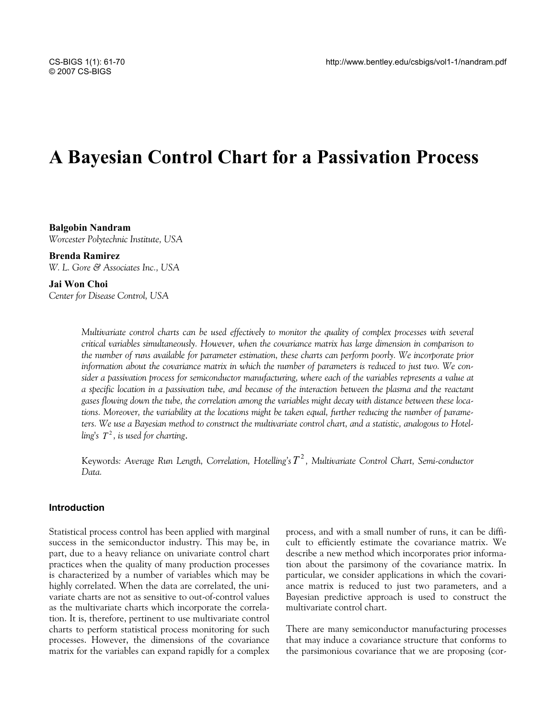# **A Bayesian Control Chart for a Passivation Process**

**Balgobin Nandram**  *Worcester Polytechnic Institute, USA* 

**Brenda Ramirez**  *W. L. Gore & Associates Inc., USA* 

**Jai Won Choi**  *Center for Disease Control, USA* 

> *Multivariate control charts can be used effectively to monitor the quality of complex processes with several critical variables simultaneously. However, when the covariance matrix has large dimension in comparison to the number of runs available for parameter estimation, these charts can perform poorly. We incorporate prior information about the covariance matrix in which the number of parameters is reduced to just two. We consider a passivation process for semiconductor manufacturing, where each of the variables represents a value at a specific location in a passivation tube, and because of the interaction between the plasma and the reactant gases flowing down the tube, the correlation among the variables might decay with distance between these locations. Moreover, the variability at the locations might be taken equal, further reducing the number of parameters. We use a Bayesian method to construct the multivariate control chart, and a statistic, analogous to Hotelling's*  $T^2$ *, is used for charting.*

> Keywords*: Average Run Length, Correlation, Hotelling's* <sup>2</sup> *T , Multivariate Control Chart, Semi-conductor Data.*

## **Introduction**

Statistical process control has been applied with marginal success in the semiconductor industry. This may be, in part, due to a heavy reliance on univariate control chart practices when the quality of many production processes is characterized by a number of variables which may be highly correlated. When the data are correlated, the univariate charts are not as sensitive to out-of-control values as the multivariate charts which incorporate the correlation. It is, therefore, pertinent to use multivariate control charts to perform statistical process monitoring for such processes. However, the dimensions of the covariance matrix for the variables can expand rapidly for a complex process, and with a small number of runs, it can be difficult to efficiently estimate the covariance matrix. We describe a new method which incorporates prior information about the parsimony of the covariance matrix. In particular, we consider applications in which the covariance matrix is reduced to just two parameters, and a Bayesian predictive approach is used to construct the multivariate control chart.

There are many semiconductor manufacturing processes that may induce a covariance structure that conforms to the parsimonious covariance that we are proposing (cor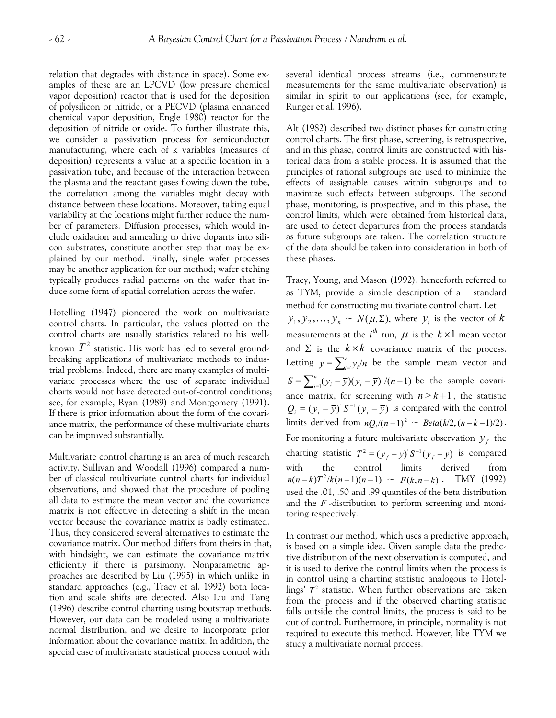relation that degrades with distance in space). Some examples of these are an LPCVD (low pressure chemical vapor deposition) reactor that is used for the deposition of polysilicon or nitride, or a PECVD (plasma enhanced chemical vapor deposition, Engle 1980) reactor for the deposition of nitride or oxide. To further illustrate this, we consider a passivation process for semiconductor manufacturing, where each of k variables (measures of deposition) represents a value at a specific location in a passivation tube, and because of the interaction between the plasma and the reactant gases flowing down the tube, the correlation among the variables might decay with distance between these locations. Moreover, taking equal variability at the locations might further reduce the number of parameters. Diffusion processes, which would include oxidation and annealing to drive dopants into silicon substrates, constitute another step that may be explained by our method. Finally, single wafer processes may be another application for our method; wafer etching typically produces radial patterns on the wafer that induce some form of spatial correlation across the wafer.

Hotelling (1947) pioneered the work on multivariate control charts. In particular, the values plotted on the control charts are usually statistics related to his wellknown  $T^2$  statistic. His work has led to several groundbreaking applications of multivariate methods to industrial problems. Indeed, there are many examples of multivariate processes where the use of separate individual charts would not have detected out-of-control conditions; see, for example, Ryan (1989) and Montgomery (1991). If there is prior information about the form of the covariance matrix, the performance of these multivariate charts can be improved substantially.

Multivariate control charting is an area of much research activity. Sullivan and Woodall (1996) compared a number of classical multivariate control charts for individual observations, and showed that the procedure of pooling all data to estimate the mean vector and the covariance matrix is not effective in detecting a shift in the mean vector because the covariance matrix is badly estimated. Thus, they considered several alternatives to estimate the covariance matrix. Our method differs from theirs in that, with hindsight, we can estimate the covariance matrix efficiently if there is parsimony. Nonparametric approaches are described by Liu (1995) in which unlike in standard approaches (e.g., Tracy et al. 1992) both location and scale shifts are detected. Also Liu and Tang (1996) describe control charting using bootstrap methods. However, our data can be modeled using a multivariate normal distribution, and we desire to incorporate prior information about the covariance matrix. In addition, the special case of multivariate statistical process control with

several identical process streams (i.e., commensurate measurements for the same multivariate observation) is similar in spirit to our applications (see, for example, Runger et al. 1996).

Alt (1982) described two distinct phases for constructing control charts. The first phase, screening, is retrospective, and in this phase, control limits are constructed with historical data from a stable process. It is assumed that the principles of rational subgroups are used to minimize the effects of assignable causes within subgroups and to maximize such effects between subgroups. The second phase, monitoring, is prospective, and in this phase, the control limits, which were obtained from historical data, are used to detect departures from the process standards as future subgroups are taken. The correlation structure of the data should be taken into consideration in both of these phases.

Tracy, Young, and Mason (1992), henceforth referred to as TYM, provide a simple description of a standard method for constructing multivariate control chart. Let  $y_1, y_2, \ldots, y_n \sim N(\mu, \Sigma)$ , where  $y_i$  is the vector of  $k$ measurements at the  $i^{th}$  run,  $\mu$  is the  $k\!\times\!1$  mean vector and  $\Sigma$  is the  $k \times k$  covariance matrix of the process. Letting  $\bar{y} = \sum_{i=1}^{n} y_i / n$  be the sample mean vector and  $S = \sum_{i=1}^{n} (y_i - \overline{y})(y_i - \overline{y})^{'}/(n-1)$  $\int_{i=1}^{n} (y_i - \overline{y})(y_i - \overline{y})'/(n-1)$  be the sample covariance matrix, for screening with  $n > k+1$ , the statistic  $Q_i = (y_i - \overline{y})^T S^{-1} (y_i - \overline{y})$  is compared with the control limits derived from  $nQ_i/(n-1)^2 \sim Beta(k/2, (n-k-1)/2)$ . For monitoring a future multivariate observation  $y_f$  the charting statistic  $T^2 = (y_f - y)'S^{-1}(y_f - y)$  is compared with the control limits derived from  $n(n-k)T^2/k(n+1)(n-1) \sim F(k,n-k)$ . TMY (1992) used the .01, .50 and .99 quantiles of the beta distribution and the *F* -distribution to perform screening and monitoring respectively.

In contrast our method, which uses a predictive approach, is based on a simple idea. Given sample data the predictive distribution of the next observation is computed, and it is used to derive the control limits when the process is in control using a charting statistic analogous to Hotellings'  $T^2$  statistic. When further observations are taken from the process and if the observed charting statistic falls outside the control limits, the process is said to be out of control. Furthermore, in principle, normality is not required to execute this method. However, like TYM we study a multivariate normal process.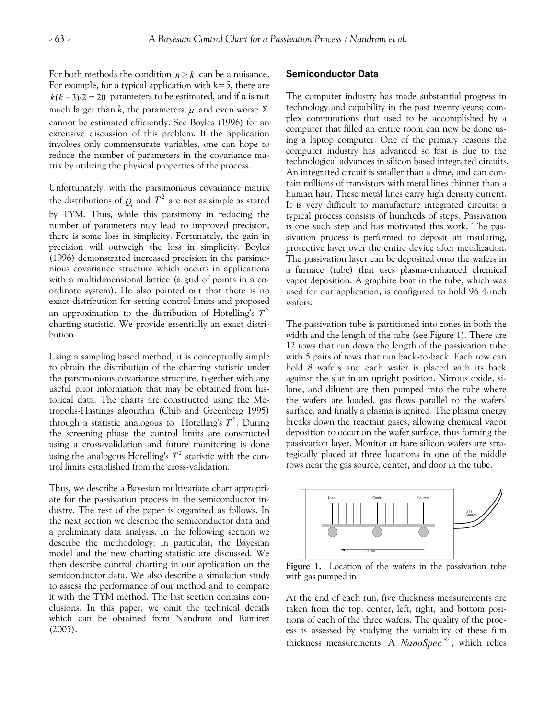For both methods the condition  $n > k$  can be a nuisance. For example, for a typical application with *k*=5, there are  $k(k+3)/2 = 20$  parameters to be estimated, and if *n* is not much larger than *k*, the parameters  $\mu$  and even worse  $\Sigma$ cannot be estimated efficiently. See Boyles (1996) for an extensive discussion of this problem. If the application involves only commensurate variables, one can hope to reduce the number of parameters in the covariance matrix by utilizing the physical properties of the process.

Unfortunately, with the parsimonious covariance matrix the distributions of  $Q_i$  and  $T^2$  are not as simple as stated by TYM. Thus, while this parsimony in reducing the number of parameters may lead to improved precision, there is some loss in simplicity. Fortunately, the gain in precision will outweigh the loss in simplicity. Boyles (1996) demonstrated increased precision in the parsimonious covariance structure which occurs in applications with a multidimensional lattice (a grid of points in a coordinate system). He also pointed out that there is no exact distribution for setting control limits and proposed an approximation to the distribution of Hotelling's  $T^2$ charting statistic. We provide essentially an exact distribution.

Using a sampling based method, it is conceptually simple to obtain the distribution of the charting statistic under the parsimonious covariance structure, together with any useful prior information that may be obtained from historical data. The charts are constructed using the Metropolis-Hastings algorithm (Chib and Greenberg 1995) through a statistic analogous to Hotelling's  $T^2$ . During the screening phase the control limits are constructed using a cross-validation and future monitoring is done using the analogous Hotelling's  $T^2$  statistic with the control limits established from the cross-validation.

Thus, we describe a Bayesian multivariate chart appropriate for the passivation process in the semiconductor industry. The rest of the paper is organized as follows. In the next section we describe the semiconductor data and a preliminary data analysis. In the following section we describe the methodology; in particular, the Bayesian model and the new charting statistic are discussed. We then describe control charting in our application on the semiconductor data. We also describe a simulation study to assess the performance of our method and to compare it with the TYM method. The last section contains conclusions. In this paper, we omit the technical details which can be obtained from Nandram and Ramirez (2005).

### **Semiconductor Data**

The computer industry has made substantial progress in technology and capability in the past twenty years; complex computations that used to be accomplished by a computer that filled an entire room can now be done using a laptop computer. One of the primary reasons the computer industry has advanced so fast is due to the technological advances in silicon based integrated circuits. An integrated circuit is smaller than a dime, and can contain millions of transistors with metal lines thinner than a human hair. These metal lines carry high density current. It is very difficult to manufacture integrated circuits; a typical process consists of hundreds of steps. Passivation is one such step and has motivated this work. The passivation process is performed to deposit an insulating, protective layer over the entire device after metalization. The passivation layer can be deposited onto the wafers in a furnace (tube) that uses plasma-enhanced chemical vapor deposition. A graphite boat in the tube, which was used for our application, is configured to hold 96 4-inch wafers.

The passivation tube is partitioned into zones in both the width and the length of the tube (see Figure 1). There are 12 rows that run down the length of the passivation tube with 5 pairs of rows that run back-to-back. Each row can hold 8 wafers and each wafer is placed with its back against the slat in an upright position. Nitrous oxide, silane, and diluent are then pumped into the tube where the wafers are loaded, gas flows parallel to the wafers' surface, and finally a plasma is ignited. The plasma energy breaks down the reactant gases, allowing chemical vapor deposition to occur on the wafer surface, thus forming the passivation layer. Monitor or bare silicon wafers are strategically placed at three locations in one of the middle rows near the gas source, center, and door in the tube.



**Figure 1.** Location of the wafers in the passivation tube with gas pumped in

At the end of each run, five thickness measurements are taken from the top, center, left, right, and bottom positions of each of the three wafers. The quality of the process is assessed by studying the variability of these film thickness measurements. A *NanoSpec*<sup>©</sup>, which relies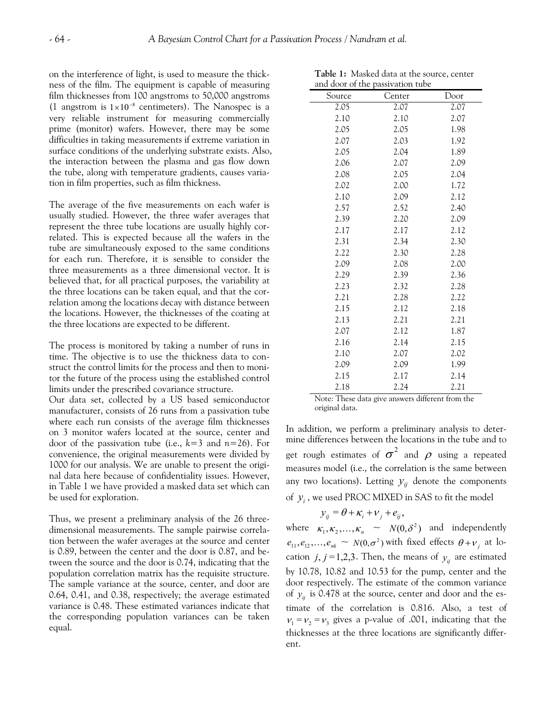on the interference of light, is used to measure the thickness of the film. The equipment is capable of measuring film thicknesses from 100 angstroms to 50,000 angstroms (1 angstrom is  $1 \times 10^{-8}$  centimeters). The Nanospec is a very reliable instrument for measuring commercially prime (monitor) wafers. However, there may be some difficulties in taking measurements if extreme variation in surface conditions of the underlying substrate exists. Also, the interaction between the plasma and gas flow down the tube, along with temperature gradients, causes variation in film properties, such as film thickness.

The average of the five measurements on each wafer is usually studied. However, the three wafer averages that represent the three tube locations are usually highly correlated. This is expected because all the wafers in the tube are simultaneously exposed to the same conditions for each run. Therefore, it is sensible to consider the three measurements as a three dimensional vector. It is believed that, for all practical purposes, the variability at the three locations can be taken equal, and that the correlation among the locations decay with distance between the locations. However, the thicknesses of the coating at the three locations are expected to be different.

The process is monitored by taking a number of runs in time. The objective is to use the thickness data to construct the control limits for the process and then to monitor the future of the process using the established control limits under the prescribed covariance structure.

Our data set, collected by a US based semiconductor manufacturer, consists of 26 runs from a passivation tube where each run consists of the average film thicknesses on 3 monitor wafers located at the source, center and door of the passivation tube (i.e., *k*=3 and *n*=26). For convenience, the original measurements were divided by 1000 for our analysis. We are unable to present the original data here because of confidentiality issues. However, in Table 1 we have provided a masked data set which can be used for exploration.

Thus, we present a preliminary analysis of the 26 threedimensional measurements. The sample pairwise correlation between the wafer averages at the source and center is 0.89, between the center and the door is 0.87, and between the source and the door is 0.74, indicating that the population correlation matrix has the requisite structure. The sample variance at the source, center, and door are 0.64, 0.41, and 0.38, respectively; the average estimated variance is 0.48. These estimated variances indicate that the corresponding population variances can be taken equal.

| and door of the passivation tube |        |      |  |  |  |  |  |  |  |
|----------------------------------|--------|------|--|--|--|--|--|--|--|
| Source                           | Center | Door |  |  |  |  |  |  |  |
| 2.05                             | 2.07   | 2.07 |  |  |  |  |  |  |  |
| 2.10                             | 2.10   | 2.07 |  |  |  |  |  |  |  |
| 2.05                             | 2.05   | 1.98 |  |  |  |  |  |  |  |
| 2.07                             | 2.03   | 1.92 |  |  |  |  |  |  |  |
| 2.05                             | 2.04   | 1.89 |  |  |  |  |  |  |  |
| 2.06                             | 2.07   | 2.09 |  |  |  |  |  |  |  |
| 2.08                             | 2.05   | 2.04 |  |  |  |  |  |  |  |
| 2.02                             | 2.00   | 1.72 |  |  |  |  |  |  |  |
| 2.10                             | 2.09   | 2.12 |  |  |  |  |  |  |  |
| 2.57                             | 2.52   | 2.40 |  |  |  |  |  |  |  |
| 2.39                             | 2.20   | 2.09 |  |  |  |  |  |  |  |
| 2.17                             | 2.17   | 2.12 |  |  |  |  |  |  |  |
| 2.31                             | 2.34   | 2.30 |  |  |  |  |  |  |  |
| 2.22                             | 2.30   | 2.28 |  |  |  |  |  |  |  |
| 2.09                             | 2.08   | 2.00 |  |  |  |  |  |  |  |
| 2.29                             | 2.39   | 2.36 |  |  |  |  |  |  |  |
| 2.23                             | 2.32   | 2.28 |  |  |  |  |  |  |  |
| 2.21                             | 2.28   | 2.22 |  |  |  |  |  |  |  |
| 2.15                             | 2.12   | 2.18 |  |  |  |  |  |  |  |
| 2.13                             | 2.21   | 2.21 |  |  |  |  |  |  |  |
| 2.07                             | 2.12   | 1.87 |  |  |  |  |  |  |  |
| 2.16                             | 2.14   | 2.15 |  |  |  |  |  |  |  |
| 2.10                             | 2.07   | 2.02 |  |  |  |  |  |  |  |
| 2.09                             | 2.09   | 1.99 |  |  |  |  |  |  |  |
| 2.15                             | 2.17   | 2.14 |  |  |  |  |  |  |  |
| 2.18                             | 2.24   | 2.21 |  |  |  |  |  |  |  |

**Table 1:** Masked data at the source, center

Note: These data give answers different from the original data.

In addition, we perform a preliminary analysis to determine differences between the locations in the tube and to get rough estimates of  $\sigma^2$  and  $\rho$  using a repeated measures model (i.e., the correlation is the same between any two locations). Letting  $y_{ij}$  denote the components of  $y_i$ , we used PROC MIXED in SAS to fit the model

$$
y_{ij} = \theta + \kappa_i + \nu_j + e_{ij},
$$

where  $\kappa_1, \kappa_2, ..., \kappa_n \sim N(0, \delta^2)$  and independently  $e_{11}, e_{12},..., e_{nk} \sim N(0, \sigma^2)$  with fixed effects  $\theta + \nu_j$  at location  $j, j = 1,2,3$ . Then, the means of  $y_{ij}$  are estimated by 10.78, 10.82 and 10.53 for the pump, center and the door respectively. The estimate of the common variance of  $y_{ij}$  is 0.478 at the source, center and door and the estimate of the correlation is 0.816. Also, a test of  $v_1 = v_2 = v_3$  gives a p-value of .001, indicating that the thicknesses at the three locations are significantly different.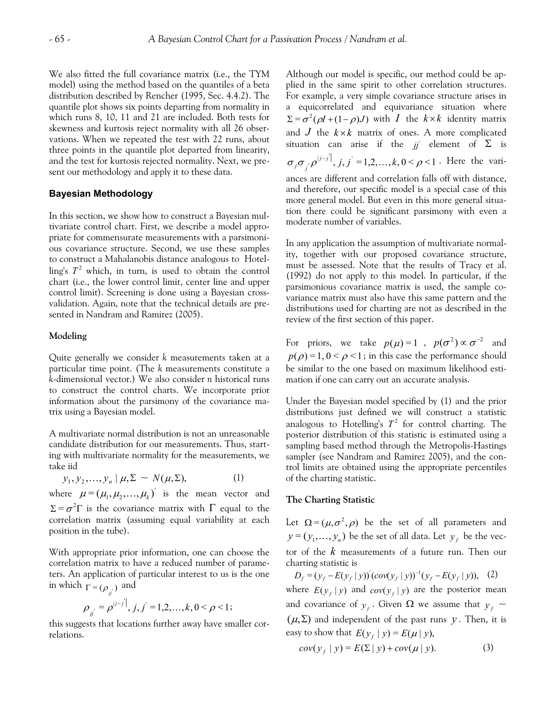We also fitted the full covariance matrix (i.e., the TYM model) using the method based on the quantiles of a beta distribution described by Rencher (1995, Sec. 4.4.2). The quantile plot shows six points departing from normality in which runs 8, 10, 11 and 21 are included. Both tests for skewness and kurtosis reject normality with all 26 observations. When we repeated the test with 22 runs, about three points in the quantile plot departed from linearity, and the test for kurtosis rejected normality. Next, we present our methodology and apply it to these data.

#### **Bayesian Methodology**

In this section, we show how to construct a Bayesian multivariate control chart. First, we describe a model appropriate for commensurate measurements with a parsimonious covariance structure. Second, we use these samples to construct a Mahalanobis distance analogous to Hotelling's  $T^2$  which, in turn, is used to obtain the control chart (i.e., the lower control limit, center line and upper control limit). Screening is done using a Bayesian crossvalidation. Again, note that the technical details are presented in Nandram and Ramirez (2005).

#### **Modeling**

Quite generally we consider *k* measurements taken at a particular time point. (The *k* measurements constitute a *k*-dimensional vector.) We also consider *n* historical runs to construct the control charts. We incorporate prior information about the parsimony of the covariance matrix using a Bayesian model.

A multivariate normal distribution is not an unreasonable candidate distribution for our measurements. Thus, starting with multivariate normality for the measurements, we take iid

$$
y_1, y_2, \ldots, y_n \mid \mu, \Sigma \sim N(\mu, \Sigma), \tag{1}
$$

where  $\mu = (\mu_1, \mu_2, ..., \mu_k)$  is the mean vector and  $\Sigma = \sigma^2 \Gamma$  is the covariance matrix with  $\Gamma$  equal to the correlation matrix (assuming equal variability at each position in the tube).

With appropriate prior information, one can choose the correlation matrix to have a reduced number of parameters. An application of particular interest to us is the one in which  $\Gamma = (\rho_{ii})$  and

$$
\rho_{jj} = \rho^{|j-j'|}, j, j' = 1, 2, ..., k, 0 < \rho < 1;
$$

this suggests that locations further away have smaller correlations.

Although our model is specific, our method could be applied in the same spirit to other correlation structures. For example, a very simple covariance structure arises in a equicorrelated and equivariance situation where  $\Sigma = \sigma^2(\rho I + (1 - \rho)J)$  with *I* the  $k \times k$  identity matrix and  $J$  the  $k \times k$  matrix of ones. A more complicated situation can arise if the  $jj'$  element of  $\Sigma$  is  $\sigma_j \sigma_{j'} \rho^{|j-j'|}, j, j' = 1, 2, ..., k, 0 < \rho < 1$ . Here the variances are different and correlation falls off with distance, and therefore, our specific model is a special case of this more general model. But even in this more general situation there could be significant parsimony with even a moderate number of variables.

In any application the assumption of multivariate normality, together with our proposed covariance structure, must be assessed. Note that the results of Tracy et al. (1992) do not apply to this model. In particular, if the parsimonious covariance matrix is used, the sample covariance matrix must also have this same pattern and the distributions used for charting are not as described in the review of the first section of this paper.

For priors, we take  $p(\mu) = 1$ ,  $p(\sigma^2) \propto \sigma^{-2}$  and  $p(\rho) = 1, 0 \leq \rho \leq 1$ ; in this case the performance should be similar to the one based on maximum likelihood estimation if one can carry out an accurate analysis.

Under the Bayesian model specified by (1) and the prior distributions just defined we will construct a statistic analogous to Hotelling's  $T^2$  for control charting. The posterior distribution of this statistic is estimated using a sampling based method through the Metropolis-Hastings sampler (see Nandram and Ramirez 2005), and the control limits are obtained using the appropriate percentiles of the charting statistic.

#### **The Charting Statistic**

Let  $\Omega = (\mu, \sigma^2, \rho)$  be the set of all parameters and  $\mathbf{y} = (y_1, \ldots, y_n)$  be the set of all data. Let  $\mathbf{y}_f$  be the vector of the *k* measurements of a future run. Then our charting statistic is

 $D_f = (y_f - E(y_f | y))'(cov(y_f | y))^{-1}(y_f - E(y_f | y)),$  (2) where  $E(y_f | y)$  and  $cov(y_f | y)$  are the posterior mean and covariance of  $y_f$ . Given  $\Omega$  we assume that  $y_f \sim$  $(\mu, \Sigma)$  and independent of the past runs *y*. Then, it is easy to show that  $E(y_f | y) = E(\mu | y)$ ,

$$
cov(y_f | y) = E(\Sigma | y) + cov(\mu | y). \tag{3}
$$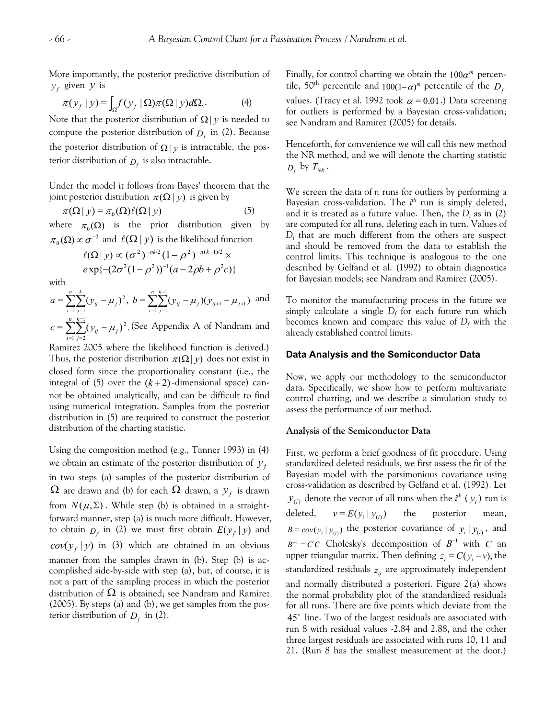More importantly, the posterior predictive distribution of  $y_f$  given  $y$  is

$$
\pi(y_f | y) = \int_{\Omega} f(y_f | \Omega) \pi(\Omega | y) d\Omega. \tag{4}
$$

Note that the posterior distribution of  $\Omega|y$  is needed to compute the posterior distribution of  $D_f$  in (2). Because the posterior distribution of  $\Omega | y$  is intractable, the posterior distribution of  $D_f$  is also intractable.

Under the model it follows from Bayes' theorem that the joint posterior distribution  $\pi(\Omega|y)$  is given by

$$
\pi(\Omega \mid y) = \pi_0(\Omega) \ell(\Omega \mid y) \tag{5}
$$

where  $\pi_0(\Omega)$  is the prior distribution given by  $\pi_0(\Omega) \propto \sigma^{-2}$  and  $\ell(\Omega \mid y)$  is the likelihood function

$$
\ell(\Omega \mid y) \propto (\sigma^2)^{-nk/2} (1 - \rho^2)^{-n(k-1)/2} \times
$$
  
 
$$
e \exp\{-(2\sigma^2(1-\rho^2))^{-1}(a-2\rho b + \rho^2 c)\}
$$

with

$$
a = \sum_{i=1}^{n} \sum_{j=1}^{k} (\mathbf{y}_{ij} - \mu_j)^2, \ b = \sum_{i=1}^{n} \sum_{j=1}^{k-1} (\mathbf{y}_{ij} - \mu_j)(\mathbf{y}_{ij+1} - \mu_{j+1})
$$
 and  

$$
c = \sum_{i=1}^{n} \sum_{j=1}^{k-1} (\mathbf{y}_{ij} - \mu_j)^2
$$
 (See Appendix A of Nandram and

.(See Appendix A of Nandram and  $=\sum\sum(y_{ii}-\mu_i)$  $c = \sum_{i=1}^{n} \sum_{j=2}^{n} (y_{ij} - \mu_j)$ 

Ramirez 2005 where the likelihood function is derived.) Thus, the posterior distribution  $\pi(\Omega | y)$  does not exist in closed form since the proportionality constant (i.e., the integral of (5) over the  $(k+2)$ -dimensional space) cannot be obtained analytically, and can be difficult to find using numerical integration. Samples from the posterior distribution in (5) are required to construct the posterior distribution of the charting statistic.

Using the composition method (e.g., Tanner 1993) in (4) we obtain an estimate of the posterior distribution of  $y_f$ in two steps (a) samples of the posterior distribution of  $\Omega$  are drawn and (b) for each  $\Omega$  drawn, a  $y_f$  is drawn from  $N(\mu, \Sigma)$ . While step (b) is obtained in a straightforward manner, step (a) is much more difficult. However, to obtain  $D_f$  in (2) we must first obtain  $E(y_f | y)$  and  $cov(y_f | y)$  in (3) which are obtained in an obvious manner from the samples drawn in (b). Step (b) is accomplished side-by-side with step (a), but, of course, it is not a part of the sampling process in which the posterior distribution of  $\Omega$  is obtained; see Nandram and Ramirez (2005). By steps (a) and (b), we get samples from the posterior distribution of  $D_f$  in (2).

Finally, for control charting we obtain the  $100\alpha^{\text{th}}$  percentile, 50<sup>th</sup> percentile and  $100(1-\alpha)$ <sup>th</sup> percentile of the  $D_f$ values. (Tracy et al. 1992 took  $\alpha = 0.01$ .) Data screening for outliers is performed by a Bayesian cross-validation; see Nandram and Ramirez (2005) for details.

Henceforth, for convenience we will call this new method the NR method, and we will denote the charting statistic  $D_f$  by  $T_{NR}$ .

We screen the data of *n* runs for outliers by performing a Bayesian cross-validation. The *i th* run is simply deleted, and it is treated as a future value. Then, the *Di* as in (2) are computed for all runs, deleting each in turn. Values of *Di* that are much different from the others are suspect and should be removed from the data to establish the control limits. This technique is analogous to the one described by Gelfand et al. (1992) to obtain diagnostics for Bayesian models; see Nandram and Ramirez (2005).

To monitor the manufacturing process in the future we simply calculate a single *Df* for each future run which becomes known and compare this value of *Df* with the already established control limits.

## **Data Analysis and the Semiconductor Data**

Now, we apply our methodology to the semiconductor data. Specifically, we show how to perform multivariate control charting, and we describe a simulation study to assess the performance of our method.

#### **Analysis of the Semiconductor Data**

First, we perform a brief goodness of fit procedure. Using standardized deleted residuals, we first assess the fit of the Bayesian model with the parsimonious covariance using cross-validation as described by Gelfand et al. (1992). Let  $y_{(i)}$  denote the vector of all runs when the *i*<sup>th</sup> ( $y_i$ ) run is deleted,  $v = E(y_i | y_{(i)})$  the posterior mean,  $B = cov(y_i | y_{(i)})$  the posterior covariance of  $y_i | y_{(i)}$ , and  $B^{-1} = C'C$  Cholesky's decomposition of  $B^{-1}$  with C an upper triangular matrix. Then defining  $z_i = C(y_i - v)$ , the standardized residuals  $z_{ij}$  are approximately independent and normally distributed a posteriori. Figure 2(a) shows the normal probability plot of the standardized residuals for all runs. There are five points which deviate from the 45° line. Two of the largest residuals are associated with run 8 with residual values -2.84 and 2.88, and the other three largest residuals are associated with runs 10, 11 and 21. (Run 8 has the smallest measurement at the door.)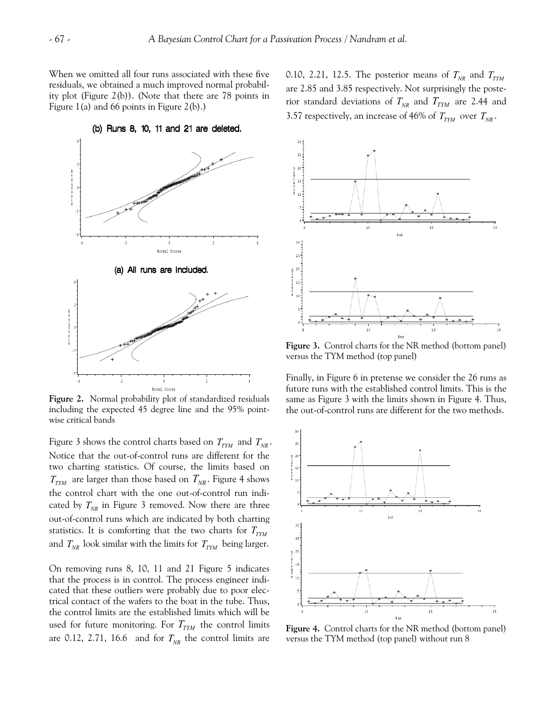When we omitted all four runs associated with these five residuals, we obtained a much improved normal probability plot (Figure 2(b)). (Note that there are 78 points in Figure 1(a) and 66 points in Figure 2(b).)

0.10, 2.21, 12.5. The posterior means of  $T_{_{\!N\!R}}$  and  $T_{_{\!T\!Y\!M}}$ are 2.85 and 3.85 respectively. Not surprisingly the posterior standard deviations of  $T_{NR}$  and  $T_{TTM}$  are 2.44 and 3.57 respectively, an increase of 46% of  $T_{\text{TTM}}$  over  $T_{\text{NR}}$ .



**Figure 2.** Normal probability plot of standardized residuals including the expected 45 degree line and the 95% pointwise critical bands

Figure 3 shows the control charts based on  $T_{\text{TTM}}$  and  $T_{\text{NR}}$ . Notice that the out-of-control runs are different for the two charting statistics. Of course, the limits based on  $T_{\text{TYM}}$  are larger than those based on  $T_{\text{NR}}$ . Figure 4 shows the control chart with the one out-of-control run indicated by  $T_{NR}$  in Figure 3 removed. Now there are three out-of-control runs which are indicated by both charting statistics. It is comforting that the two charts for  $T_{\rm\scriptscriptstyle TYM}$ and  $T_{NR}$  look similar with the limits for  $T_{TYM}$  being larger.

On removing runs 8, 10, 11 and 21 Figure 5 indicates that the process is in control. The process engineer indicated that these outliers were probably due to poor electrical contact of the wafers to the boat in the tube. Thus, the control limits are the established limits which will be used for future monitoring. For  $T_{TYM}$  the control limits are 0.12, 2.71, 16.6 and for  $T_{NR}$  the control limits are



**Figure 3.** Control charts for the NR method (bottom panel) versus the TYM method (top panel)

Finally, in Figure 6 in pretense we consider the 26 runs as future runs with the established control limits. This is the same as Figure 3 with the limits shown in Figure 4. Thus, the out-of-control runs are different for the two methods.



**Figure 4.** Control charts for the NR method (bottom panel) versus the TYM method (top panel) without run 8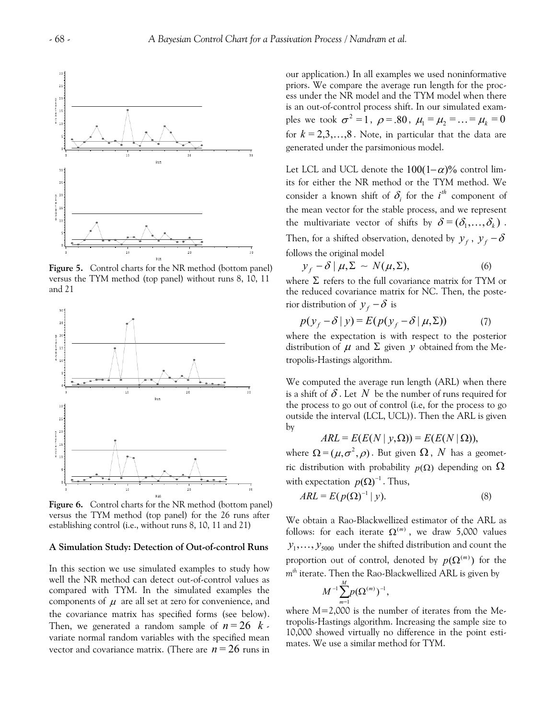

**Figure 5.** Control charts for the NR method (bottom panel) versus the TYM method (top panel) without runs 8, 10, 11 and 21



**Figure 6.** Control charts for the NR method (bottom panel) versus the TYM method (top panel) for the 26 runs after establishing control (i.e., without runs 8, 10, 11 and 21)

#### **A Simulation Study: Detection of Out-of-control Runs**

In this section we use simulated examples to study how well the NR method can detect out-of-control values as compared with TYM. In the simulated examples the components of  $\mu$  are all set at zero for convenience, and the covariance matrix has specified forms (see below). Then, we generated a random sample of  $n = 26$   $k$ . variate normal random variables with the specified mean vector and covariance matrix. (There are  $n = 26$  runs in our application.) In all examples we used noninformative priors. We compare the average run length for the process under the NR model and the TYM model when there is an out-of-control process shift. In our simulated examples we took  $\sigma^2 = 1$ ,  $\rho = .80$ ,  $\mu_1 = \mu_2 = ... = \mu_k = 0$ for  $k = 2,3,...,8$ . Note, in particular that the data are generated under the parsimonious model.

Let LCL and UCL denote the  $100(1-\alpha)\%$  control limits for either the NR method or the TYM method. We consider a known shift of  $\delta_i$  for the  $i^{th}$  component of the mean vector for the stable process, and we represent the multivariate vector of shifts by  $\delta = (\delta_1, \ldots, \delta_k)$ . Then, for a shifted observation, denoted by  $y_f$ ,  $y_f - \delta$ follows the original model

$$
y_f - \delta \mid \mu, \Sigma \sim N(\mu, \Sigma), \tag{6}
$$

where  $\Sigma$  refers to the full covariance matrix for TYM or the reduced covariance matrix for NC. Then, the posterior distribution of  $y_f - \delta$  is

$$
p(y_f - \delta | y) = E(p(y_f - \delta | \mu, \Sigma))
$$
 (7)

where the expectation is with respect to the posterior distribution of  $\mu$  and  $\Sigma$  given  $y$  obtained from the Metropolis-Hastings algorithm.

We computed the average run length (ARL) when there is a shift of  $\delta$  . Let  $N$  be the number of runs required for the process to go out of control (i.e, for the process to go outside the interval (LCL, UCL)). Then the ARL is given by

$$
ARL = E(E(N | y, \Omega)) = E(E(N | \Omega)),
$$

where  $\Omega = (\mu, \sigma^2, \rho)$ . But given  $\Omega$ , N has a geometric distribution with probability  $p(\Omega)$  depending on  $\overline{\Omega}$ with expectation  $p(\Omega)^{-1}$ . Thus,

$$
ARL = E(p(\Omega)^{-1} | y). \tag{8}
$$

We obtain a Rao-Blackwellized estimator of the ARL as follows: for each iterate  $\Omega^{(m)}$ , we draw 5,000 values  $y_1, \ldots, y_{5000}$  under the shifted distribution and count the proportion out of control, denoted by  $p(\Omega^{(m)})$  for the *mth* iterate. Then the Rao-Blackwellized ARL is given by

$$
M^{-1}\sum_{m=1}^M p(\Omega^{(m)})^{-1},
$$

where *M*=2,000 is the number of iterates from the Metropolis-Hastings algorithm. Increasing the sample size to 10,000 showed virtually no difference in the point estimates. We use a similar method for TYM.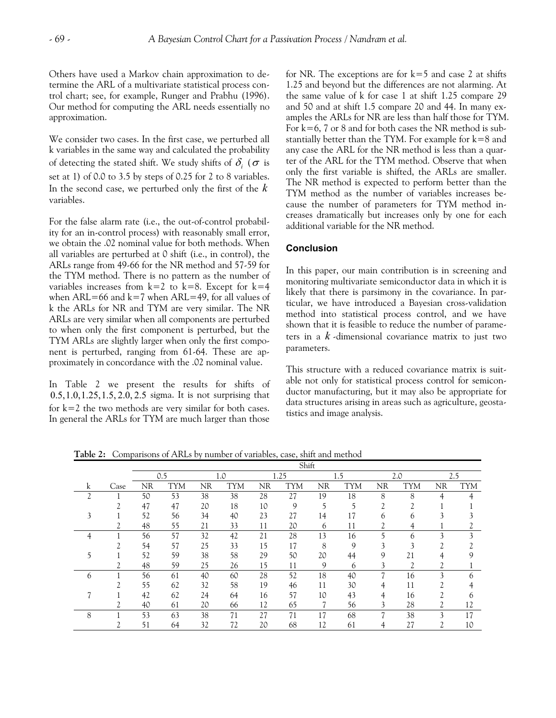Others have used a Markov chain approximation to determine the ARL of a multivariate statistical process control chart; see, for example, Runger and Prabhu (1996). Our method for computing the ARL needs essentially no approximation.

We consider two cases. In the first case, we perturbed all k variables in the same way and calculated the probability of detecting the stated shift. We study shifts of  $\delta_i$  ( $\sigma$  is set at 1) of 0.0 to 3.5 by steps of 0.25 for 2 to 8 variables. In the second case, we perturbed only the first of the *k* variables.

For the false alarm rate (i.e., the out-of-control probability for an in-control process) with reasonably small error, we obtain the .02 nominal value for both methods. When all variables are perturbed at 0 shift (i.e., in control), the ARLs range from 49-66 for the NR method and 57-59 for the TYM method. There is no pattern as the number of variables increases from  $k=2$  to  $k=8$ . Except for  $k=4$ when  $ARL=66$  and  $k=7$  when  $ARL=49$ , for all values of k the ARLs for NR and TYM are very similar. The NR ARLs are very similar when all components are perturbed to when only the first component is perturbed, but the TYM ARLs are slightly larger when only the first component is perturbed, ranging from 61-64. These are approximately in concordance with the .02 nominal value.

In Table 2 we present the results for shifts of  $0.5, 1.0, 1.25, 1.5, 2.0, 2.5$  sigma. It is not surprising that for  $k=2$  the two methods are very similar for both cases. In general the ARLs for TYM are much larger than those

for NR. The exceptions are for  $k=5$  and case 2 at shifts 1.25 and beyond but the differences are not alarming. At the same value of k for case 1 at shift 1.25 compare 29 and 50 and at shift 1.5 compare 20 and 44. In many examples the ARLs for NR are less than half those for TYM. For  $k=6$ , 7 or 8 and for both cases the NR method is substantially better than the TYM. For example for  $k=8$  and any case the ARL for the NR method is less than a quarter of the ARL for the TYM method. Observe that when only the first variable is shifted, the ARLs are smaller. The NR method is expected to perform better than the TYM method as the number of variables increases because the number of parameters for TYM method increases dramatically but increases only by one for each additional variable for the NR method.

## **Conclusion**

In this paper, our main contribution is in screening and monitoring multivariate semiconductor data in which it is likely that there is parsimony in the covariance. In particular, we have introduced a Bayesian cross-validation method into statistical process control, and we have shown that it is feasible to reduce the number of parameters in a *k* -dimensional covariance matrix to just two parameters.

This structure with a reduced covariance matrix is suitable not only for statistical process control for semiconductor manufacturing, but it may also be appropriate for data structures arising in areas such as agriculture, geostatistics and image analysis.

|                |               | Shift |            |     |            |      |            |    |            |    |                |              |            |  |
|----------------|---------------|-------|------------|-----|------------|------|------------|----|------------|----|----------------|--------------|------------|--|
|                |               | 0.5   |            | 1.0 |            | 1.25 |            |    | 1.5        |    | 2.0            |              | 2.5        |  |
| k              | Case          | ΝR    | <b>TYM</b> | NR  | <b>TYM</b> | NR   | <b>TYM</b> | NR | <b>TYM</b> | NR | <b>TYM</b>     | NR           | <b>TYM</b> |  |
| $\overline{c}$ |               | 50    | 53         | 38  | 38         | 28   | 27         | 19 | 18         | 8  | 8              | 4            |            |  |
|                | h             | 47    | 47         | 20  | 18         | 10   | 9          | 5  | 5          | ∍  | $\mathcal{L}$  |              |            |  |
|                |               | 52    | 56         | 34  | 40         | 23   | 27         | 14 | 17         | 6  | 6              | $\mathbf{A}$ |            |  |
|                | $\mathcal{D}$ | 48    | 55         | 21  | 33         | 11   | 20         | 6  | 11         |    | 4              |              |            |  |
|                |               | 56    | 57         | 32  | 42         | 21   | 28         | 13 | 16         |    | 6              | 3            | 3          |  |
|                | $\mathcal{L}$ | 54    | 57         | 25  | 33         | 15   | 17         | 8  | 9          | 3  | 3              | h            |            |  |
|                |               | 52    | 59         | 38  | 58         | 29   | 50         | 20 | 44         | 9  | 21             |              | 9          |  |
|                | C             | 48    | 59         | 25  | 26         | 15   | 11         | 9  | 6          | 3  | $\overline{c}$ | ∍            |            |  |
| 6              |               | 56    | 61         | 40  | 60         | 28   | 52         | 18 | 40         |    | 16             | 3            | 6          |  |
|                | ∍             | 55    | 62         | 32  | 58         | 19   | 46         | 11 | 30         | 4  | 11             | ∍            |            |  |
|                |               | 42    | 62         | 24  | 64         | 16   | 57         | 10 | 43         | Δ  | 16             | ◠            | h          |  |
|                |               | 40    | 61         | 20  | 66         | 12   | 65         |    | 56         | 3  | 28             |              | 12         |  |
| 8              |               | 53    | 63         | 38  | 71         | 27   | 71         | 17 | 68         | −  | 38             | 3            | 17         |  |
|                |               | 51    | 64         | 32  | 72         | 20   | 68         | 12 | 61         | 4  | 27             | C            | 10         |  |

**Table 2:** Comparisons of ARLs by number of variables, case, shift and method